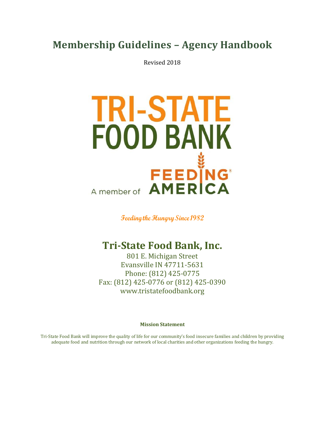# **Membership Guidelines – Agency Handbook**

Revised 2018



**Feeding the Hungry Since 1982** 

## **Tri-State Food Bank, Inc.**

801 E. Michigan Street Evansville IN 47711-5631 Phone: (812) 425-0775 Fax: (812) 425-0776 or (812) 425-0390 www.tristatefoodbank.org

**Mission Statement**

Tri-State Food Bank will improve the quality of life for our community's food insecure families and children by providing adequate food and nutrition through our network of local charities and other organizations feeding the hungry.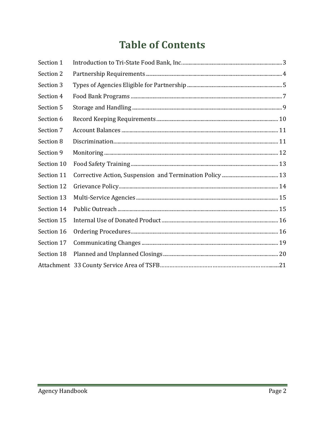# **Table of Contents**

| Section 1  |  |
|------------|--|
| Section 2  |  |
| Section 3  |  |
| Section 4  |  |
| Section 5  |  |
| Section 6  |  |
| Section 7  |  |
| Section 8  |  |
| Section 9  |  |
| Section 10 |  |
| Section 11 |  |
| Section 12 |  |
| Section 13 |  |
| Section 14 |  |
| Section 15 |  |
| Section 16 |  |
| Section 17 |  |
| Section 18 |  |
|            |  |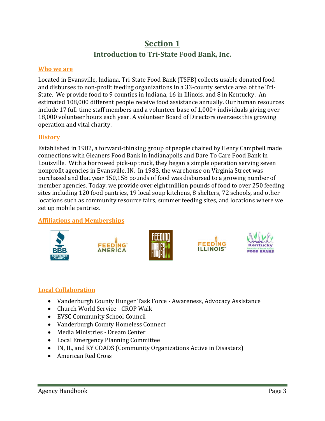## **Section 1 Introduction to Tri-State Food Bank, Inc.**

#### <span id="page-2-0"></span>**Who we are**

Located in Evansville, Indiana, Tri-State Food Bank (TSFB) collects usable donated food and disburses to non-profit feeding organizations in a 33-county service area of the Tri-State. We provide food to 9 counties in Indiana, 16 in Illinois, and 8 in Kentucky. An estimated 108,000 different people receive food assistance annually. Our human resources include 17 full-time staff members and a volunteer base of 1,000+ individuals giving over 18,000 volunteer hours each year. A volunteer Board of Directors oversees this growing operation and vital charity.

#### **History**

Established in 1982, a forward-thinking group of people chaired by Henry Campbell made connections with Gleaners Food Bank in Indianapolis and Dare To Care Food Bank in Louisville. With a borrowed pick-up truck, they began a simple operation serving seven nonprofit agencies in Evansville, IN. In 1983, the warehouse on Virginia Street was purchased and that year 150,158 pounds of food was disbursed to a growing number of member agencies. Today, we provide over eight million pounds of food to over 250 feeding sites including 120 food pantries, 19 local soup kitchens, 8 shelters, 72 schools, and other locations such as community resource fairs, summer feeding sites, and locations where we set up mobile pantries.

### **Affiliations and Memberships**











## **Local Collaboration**

- Vanderburgh County Hunger Task Force Awareness, Advocacy Assistance
- Church World Service CROP Walk
- EVSC Community School Council
- Vanderburgh County Homeless Connect
- Media Ministries Dream Center
- Local Emergency Planning Committee
- IN, IL, and KY COADS (Community Organizations Active in Disasters)
- American Red Cross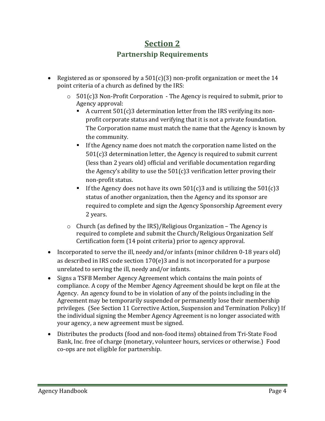## **Section 2 Partnership Requirements**

- <span id="page-3-0"></span>• Registered as or sponsored by a  $501(c)(3)$  non-profit organization or meet the 14 point criteria of a church as defined by the IRS:
	- $\circ$  501(c)3 Non-Profit Corporation The Agency is required to submit, prior to Agency approval:
		- A current  $501(c)3$  determination letter from the IRS verifying its nonprofit corporate status and verifying that it is not a private foundation. The Corporation name must match the name that the Agency is known by the community.
		- If the Agency name does not match the corporation name listed on the 501(c)3 determination letter, the Agency is required to submit current (less than 2 years old) official and verifiable documentation regarding the Agency's ability to use the  $501(c)3$  verification letter proving their non-profit status.
		- If the Agency does not have its own  $501(c)3$  and is utilizing the  $501(c)3$ status of another organization, then the Agency and its sponsor are required to complete and sign the Agency Sponsorship Agreement every 2 years.
	- $\circ$  Church (as defined by the IRS)/Religious Organization The Agency is required to complete and submit the Church/Religious Organization Self Certification form (14 point criteria) prior to agency approval.
- Incorporated to serve the ill, needy and/or infants (minor children 0-18 years old) as described in IRS code section 170(e)3 and is not incorporated for a purpose unrelated to serving the ill, needy and/or infants.
- Signs a TSFB Member Agency Agreement which contains the main points of compliance. A copy of the Member Agency Agreement should be kept on file at the Agency. An agency found to be in violation of any of the points including in the Agreement may be temporarily suspended or permanently lose their membership privileges. (See Section 11 Corrective Action, Suspension and Termination Policy) If the individual signing the Member Agency Agreement is no longer associated with your agency, a new agreement must be signed.
- Distributes the products (food and non-food items) obtained from Tri-State Food Bank, Inc. free of charge (monetary, volunteer hours, services or otherwise.) Food co-ops are not eligible for partnership.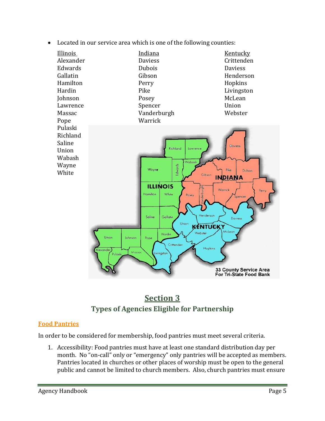





## <span id="page-4-0"></span>**Food Pantries**

In order to be considered for membership, food pantries must meet several criteria.

1. Accessibility: Food pantries must have at least one standard distribution day per month. No "on-call" only or "emergency" only pantries will be accepted as members. Pantries located in churches or other places of worship must be open to the general public and cannot be limited to church members. Also, church pantries must ensure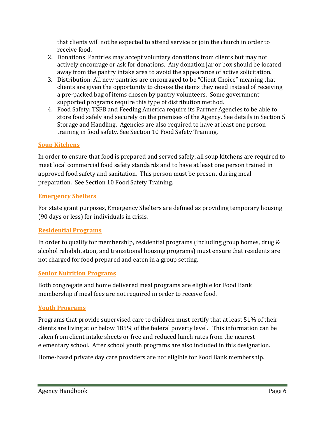that clients will not be expected to attend service or join the church in order to receive food.

- 2. Donations: Pantries may accept voluntary donations from clients but may not actively encourage or ask for donations. Any donation jar or box should be located away from the pantry intake area to avoid the appearance of active solicitation.
- 3. Distribution: All new pantries are encouraged to be "Client Choice" meaning that clients are given the opportunity to choose the items they need instead of receiving a pre-packed bag of items chosen by pantry volunteers. Some government supported programs require this type of distribution method.
- 4. Food Safety: TSFB and Feeding America require its Partner Agencies to be able to store food safely and securely on the premises of the Agency. See details in Section 5 Storage and Handling. Agencies are also required to have at least one person training in food safety. See Section 10 Food Safety Training.

## **Soup Kitchens**

In order to ensure that food is prepared and served safely, all soup kitchens are required to meet local commercial food safety standards and to have at least one person trained in approved food safety and sanitation. This person must be present during meal preparation. See Section 10 Food Safety Training.

## **Emergency Shelters**

For state grant purposes, Emergency Shelters are defined as providing temporary housing (90 days or less) for individuals in crisis.

## **Residential Programs**

In order to qualify for membership, residential programs (including group homes, drug & alcohol rehabilitation, and transitional housing programs) must ensure that residents are not charged for food prepared and eaten in a group setting.

## **Senior Nutrition Programs**

Both congregate and home delivered meal programs are eligible for Food Bank membership if meal fees are not required in order to receive food.

## **Youth Programs**

Programs that provide supervised care to children must certify that at least 51% of their clients are living at or below 185% of the federal poverty level. This information can be taken from client intake sheets or free and reduced lunch rates from the nearest elementary school. After school youth programs are also included in this designation.

Home-based private day care providers are not eligible for Food Bank membership.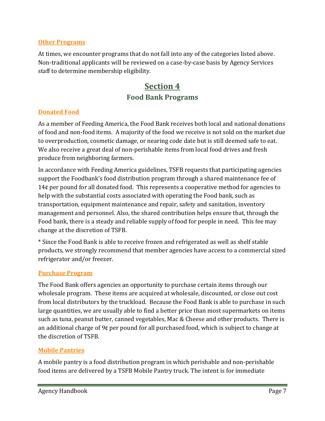#### **Other Programs**

<span id="page-6-0"></span>At times, we encounter programs that do not fall into any of the categories listed above. Non-traditional applicants will be reviewed on a case-by-case basis by Agency Services staff to determine membership eligibility.

## **Section 4 Food Bank Programs**

### **Donated Food**

As a member of Feeding America, the Food Bank receives both local and national donations of food and non-food items. A majority of the food we receive is not sold on the market due to overproduction, cosmetic damage, or nearing code date but is still deemed safe to eat. We also receive a great deal of non-perishable items from local food drives and fresh produce from neighboring farmers.

In accordance with Feeding America guidelines, TSFB requests that participating agencies support the Foodbank's food distribution program through a shared maintenance fee of 14¢ per pound for all donated food. This represents a cooperative method for agencies to help with the substantial costs associated with operating the Food bank, such as transportation, equipment maintenance and repair, safety and sanitation, inventory management and personnel. Also, the shared contribution helps ensure that, through the Food bank, there is a steady and reliable supply of food for people in need. This fee may change at the discretion of TSFB.

\* Since the Food Bank is able to receive frozen and refrigerated as well as shelf stable products, we strongly recommend that member agencies have access to a commercial sized refrigerator and/or freezer.

### **Purchase Program**

The Food Bank offers agencies an opportunity to purchase certain items through our wholesale program. These items are acquired at wholesale, discounted, or close out cost from local distributors by the truckload. Because the Food Bank is able to purchase in such large quantities, we are usually able to find a better price than most supermarkets on items such as tuna, peanut butter, canned vegetables, Mac & Cheese and other products. There is an additional charge of 9¢ per pound for all purchased food, which is subject to change at the discretion of TSFB.

### **Mobile Pantries**

A mobile pantry is a food distribution program in which perishable and non-perishable food items are delivered by a TSFB Mobile Pantry truck. The intent is for immediate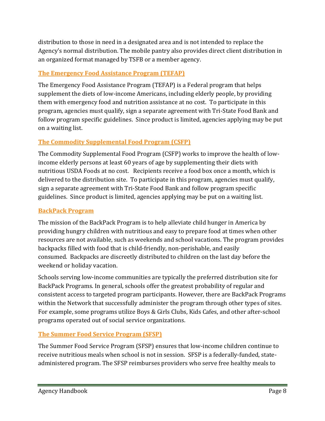distribution to those in need in a designated area and is not intended to replace the Agency's normal distribution. The mobile pantry also provides direct client distribution in an organized format managed by TSFB or a member agency.

## **The Emergency Food Assistance Program (TEFAP)**

The Emergency Food Assistance Program (TEFAP) is a Federal program that helps supplement the diets of low-income Americans, including elderly people, by providing them with emergency food and nutrition assistance at no cost. To participate in this program, agencies must qualify, sign a separate agreement with Tri-State Food Bank and follow program specific guidelines. Since product is limited, agencies applying may be put on a waiting list.

## **The Commodity Supplemental Food Program (CSFP)**

The Commodity Supplemental Food Program (CSFP) works to improve the health of lowincome elderly persons at least 60 years of age by supplementing their diets with nutritious USDA Foods at no cost. Recipients receive a food box once a month, which is delivered to the distribution site. To participate in this program, agencies must qualify, sign a separate agreement with Tri-State Food Bank and follow program specific guidelines. Since product is limited, agencies applying may be put on a waiting list.

## **BackPack Program**

The mission of the BackPack Program is to help alleviate child hunger in America by providing hungry children with nutritious and easy to prepare food at times when other resources are not available, such as weekends and school vacations. The program provides backpacks filled with food that is child-friendly, non-perishable, and easily consumed. Backpacks are discreetly distributed to children on the last day before the weekend or holiday vacation.

Schools serving low-income communities are typically the preferred distribution site for BackPack Programs. In general, schools offer the greatest probability of regular and consistent access to targeted program participants. However, there are BackPack Programs within the Network that successfully administer the program through other types of sites. For example, some programs utilize Boys & Girls Clubs, Kids Cafes, and other after-school programs operated out of social service organizations.

## **The Summer Food Service Program (SFSP)**

The Summer Food Service Program (SFSP) ensures that low-income children continue to receive nutritious meals when school is not in session. SFSP is a federally-funded, stateadministered program. The SFSP reimburses providers who serve free healthy meals to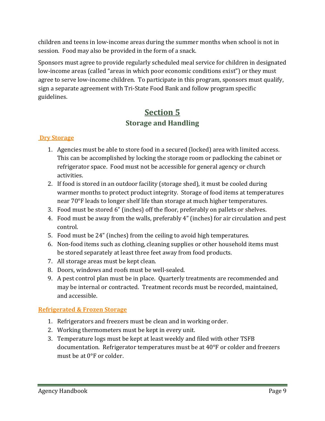children and teens in low-income areas during the summer months when school is not in session. Food may also be provided in the form of a snack.

Sponsors must agree to provide regularly scheduled meal service for children in designated low-income areas (called "areas in which poor economic conditions exist") or they must agree to serve low-income children. To participate in this program, sponsors must qualify, sign a separate agreement with Tri-State Food Bank and follow program specific guidelines.

## **Section 5 Storage and Handling**

## <span id="page-8-0"></span>**Dry Storage**

- 1. Agencies must be able to store food in a secured (locked) area with limited access. This can be accomplished by locking the storage room or padlocking the cabinet or refrigerator space. Food must not be accessible for general agency or church activities.
- 2. If food is stored in an outdoor facility (storage shed), it must be cooled during warmer months to protect product integrity. Storage of food items at temperatures near 70°F leads to longer shelf life than storage at much higher temperatures.
- 3. Food must be stored 6" (inches) off the floor, preferably on pallets or shelves.
- 4. Food must be away from the walls, preferably 4" (inches) for air circulation and pest control.
- 5. Food must be 24" (inches) from the ceiling to avoid high temperatures.
- 6. Non-food items such as clothing, cleaning supplies or other household items must be stored separately at least three feet away from food products.
- 7. All storage areas must be kept clean.
- 8. Doors, windows and roofs must be well-sealed.
- 9. A pest control plan must be in place. Quarterly treatments are recommended and may be internal or contracted. Treatment records must be recorded, maintained, and accessible.

## **Refrigerated & Frozen Storage**

- 1. Refrigerators and freezers must be clean and in working order.
- 2. Working thermometers must be kept in every unit.
- 3. Temperature logs must be kept at least weekly and filed with other TSFB documentation. Refrigerator temperatures must be at 40°F or colder and freezers must be at 0°F or colder.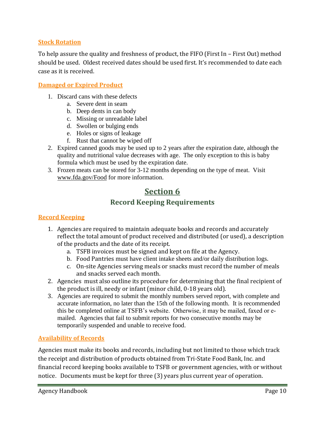#### **Stock Rotation**

To help assure the quality and freshness of product, the FIFO (First In – First Out) method should be used. Oldest received dates should be used first. It's recommended to date each case as it is received.

#### **Damaged or Expired Product**

- 1. Discard cans with these defects
	- a. Severe dent in seam
	- b. Deep dents in can body
	- c. Missing or unreadable label
	- d. Swollen or bulging ends
	- e. Holes or signs of leakage
	- f. Rust that cannot be wiped off
- 2. Expired canned goods may be used up to 2 years after the expiration date, although the quality and nutritional value decreases with age. The only exception to this is baby formula which must be used by the expiration date.
- <span id="page-9-0"></span>3. Frozen meats can be stored for 3-12 months depending on the type of meat. Visit [www.fda.gov/Food](http://www.fda.gov/Food) for more information.

## **Section 6 Record Keeping Requirements**

#### **Record Keeping**

- 1. Agencies are required to maintain adequate books and records and accurately reflect the total amount of product received and distributed (or used), a description of the products and the date of its receipt.
	- a. TSFB invoices must be signed and kept on file at the Agency.
	- b. Food Pantries must have client intake sheets and/or daily distribution logs.
	- c. On-site Agencies serving meals or snacks must record the number of meals and snacks served each month.
- 2. Agencies must also outline its procedure for determining that the final recipient of the product is ill, needy or infant (minor child, 0-18 years old).
- 3. Agencies are required to submit the monthly numbers served report, with complete and accurate information, no later than the 15th of the following month. It is recommended this be completed online at TSFB's website. Otherwise, it may be mailed, faxed or emailed. Agencies that fail to submit reports for two consecutive months may be temporarily suspended and unable to receive food.

#### **Availability of Records**

Agencies must make its books and records, including but not limited to those which track the receipt and distribution of products obtained from Tri-State Food Bank, Inc. and financial record keeping books available to TSFB or government agencies, with or without notice. Documents must be kept for three (3) years plus current year of operation.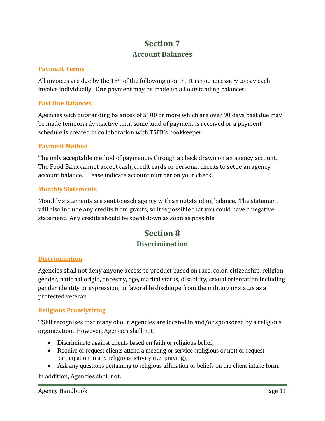## **Section 7 Account Balances**

#### <span id="page-10-0"></span>**Payment Terms**

All invoices are due by the  $15<sup>th</sup>$  of the following month. It is not necessary to pay each invoice individually. One payment may be made on all outstanding balances.

#### **Past Due Balances**

Agencies with outstanding balances of \$100 or more which are over 90 days past due may be made temporarily inactive until some kind of payment is received or a payment schedule is created in collaboration with TSFB's bookkeeper.

#### **Payment Method**

The only acceptable method of payment is through a check drawn on an agency account. The Food Bank cannot accept cash, credit cards or personal checks to settle an agency account balance. Please indicate account number on your check.

#### **Monthly Statements**

<span id="page-10-1"></span>Monthly statements are sent to each agency with an outstanding balance. The statement will also include any credits from grants, so it is possible that you could have a negative statement. Any credits should be spent down as soon as possible.

## **Section 8 Discrimination**

### **Discrimination**

Agencies shall not deny anyone access to product based on race, color, citizenship, religion, gender, national origin, ancestry, age, marital status, disability, sexual orientation including gender identity or expression, unfavorable discharge from the military or status as a protected veteran.

#### **Religious Proselytizing**

TSFB recognizes that many of our Agencies are located in and/or sponsored by a religious organization. However, Agencies shall not:

- Discriminate against clients based on faith or religious belief;
- Require or request clients attend a meeting or service (religious or not) or request participation in any religious activity (i.e. praying);
- Ask any questions pertaining to religious affiliation or beliefs on the client intake form.

In addition, Agencies shall not: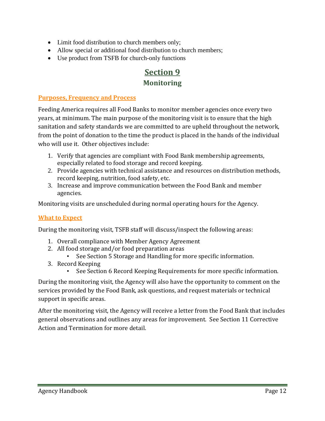- Limit food distribution to church members only;
- Allow special or additional food distribution to church members;
- <span id="page-11-0"></span>Use product from TSFB for church-only functions

## **Section 9 Monitoring**

#### **Purposes, Frequency and Process**

Feeding America requires all Food Banks to monitor member agencies once every two years, at minimum. The main purpose of the monitoring visit is to ensure that the high sanitation and safety standards we are committed to are upheld throughout the network, from the point of donation to the time the product is placed in the hands of the individual who will use it. Other objectives include:

- 1. Verify that agencies are compliant with Food Bank membership agreements, especially related to food storage and record keeping.
- 2. Provide agencies with technical assistance and resources on distribution methods, record keeping, nutrition, food safety, etc.
- 3. Increase and improve communication between the Food Bank and member agencies.

Monitoring visits are unscheduled during normal operating hours for the Agency.

### **What to Expect**

During the monitoring visit, TSFB staff will discuss/inspect the following areas:

- 1. Overall compliance with Member Agency Agreement
- 2. All food storage and/or food preparation areas
	- See Section 5 Storage and Handling for more specific information.
- 3. Record Keeping
	- See Section 6 Record Keeping Requirements for more specific information.

During the monitoring visit, the Agency will also have the opportunity to comment on the services provided by the Food Bank, ask questions, and request materials or technical support in specific areas.

After the monitoring visit, the Agency will receive a letter from the Food Bank that includes general observations and outlines any areas for improvement. See Section 11 Corrective Action and Termination for more detail.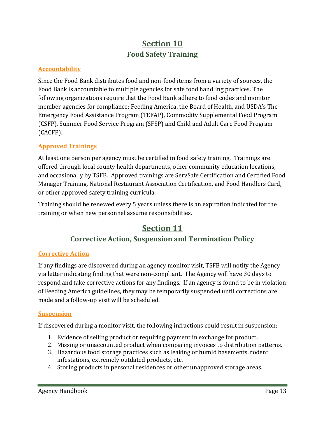## **Section 10 Food Safety Training**

### <span id="page-12-0"></span>**Accountability**

Since the Food Bank distributes food and non-food items from a variety of sources, the Food Bank is accountable to multiple agencies for safe food handling practices. The following organizations require that the Food Bank adhere to food codes and monitor member agencies for compliance: Feeding America, the Board of Health, and USDA's The Emergency Food Assistance Program (TEFAP), Commodity Supplemental Food Program (CSFP), Summer Food Service Program (SFSP) and Child and Adult Care Food Program (CACFP).

## **Approved Trainings**

At least one person per agency must be certified in food safety training. Trainings are offered through local county health departments, other community education locations, and occasionally by TSFB. Approved trainings are ServSafe Certification and Certified Food Manager Training, National Restaurant Association Certification, and Food Handlers Card, or other approved safety training curricula.

<span id="page-12-1"></span>Training should be renewed every 5 years unless there is an expiration indicated for the training or when new personnel assume responsibilities.

## **Section 11**

## **Corrective Action, Suspension and Termination Policy**

### **Corrective Action**

If any findings are discovered during an agency monitor visit, TSFB will notify the Agency via letter indicating finding that were non-compliant. The Agency will have 30 days to respond and take corrective actions for any findings. If an agency is found to be in violation of Feeding America guidelines, they may be temporarily suspended until corrections are made and a follow-up visit will be scheduled.

#### **Suspension**

If discovered during a monitor visit, the following infractions could result in suspension:

- 1. Evidence of selling product or requiring payment in exchange for product.
- 2. Missing or unaccounted product when comparing invoices to distribution patterns.
- 3. Hazardous food storage practices such as leaking or humid basements, rodent infestations, extremely outdated products, etc.
- 4. Storing products in personal residences or other unapproved storage areas.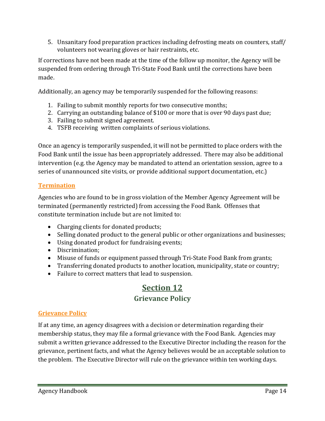5. Unsanitary food preparation practices including defrosting meats on counters, staff/ volunteers not wearing gloves or hair restraints, etc.

If corrections have not been made at the time of the follow up monitor, the Agency will be suspended from ordering through Tri-State Food Bank until the corrections have been made.

Additionally, an agency may be temporarily suspended for the following reasons:

- 1. Failing to submit monthly reports for two consecutive months;
- 2. Carrying an outstanding balance of \$100 or more that is over 90 days past due;
- 3. Failing to submit signed agreement.
- 4. TSFB receiving written complaints of serious violations.

Once an agency is temporarily suspended, it will not be permitted to place orders with the Food Bank until the issue has been appropriately addressed. There may also be additional intervention (e.g. the Agency may be mandated to attend an orientation session, agree to a series of unannounced site visits, or provide additional support documentation, etc.)

### **Termination**

Agencies who are found to be in gross violation of the Member Agency Agreement will be terminated (permanently restricted) from accessing the Food Bank. Offenses that constitute termination include but are not limited to:

- Charging clients for donated products;
- Selling donated product to the general public or other organizations and businesses;
- Using donated product for fundraising events;
- Discrimination;
- Misuse of funds or equipment passed through Tri-State Food Bank from grants;
- Transferring donated products to another location, municipality, state or country;
- <span id="page-13-0"></span>• Failure to correct matters that lead to suspension.

## **Section 12 Grievance Policy**

### **Grievance Policy**

If at any time, an agency disagrees with a decision or determination regarding their membership status, they may file a formal grievance with the Food Bank. Agencies may submit a written grievance addressed to the Executive Director including the reason for the grievance, pertinent facts, and what the Agency believes would be an acceptable solution to the problem. The Executive Director will rule on the grievance within ten working days.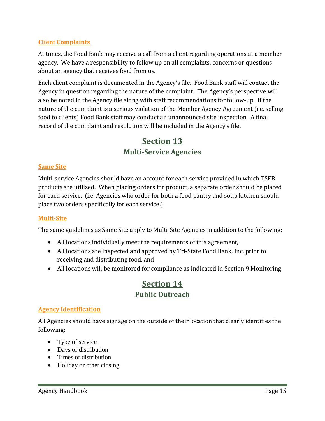## **Client Complaints**

At times, the Food Bank may receive a call from a client regarding operations at a member agency. We have a responsibility to follow up on all complaints, concerns or questions about an agency that receives food from us.

Each client complaint is documented in the Agency's file. Food Bank staff will contact the Agency in question regarding the nature of the complaint. The Agency's perspective will also be noted in the Agency file along with staff recommendations for follow-up. If the nature of the complaint is a serious violation of the Member Agency Agreement (i.e. selling food to clients) Food Bank staff may conduct an unannounced site inspection. A final record of the complaint and resolution will be included in the Agency's file.

## **Section 13 Multi-Service Agencies**

#### <span id="page-14-0"></span>**Same Site**

Multi-service Agencies should have an account for each service provided in which TSFB products are utilized. When placing orders for product, a separate order should be placed for each service. (i.e. Agencies who order for both a food pantry and soup kitchen should place two orders specifically for each service.)

### **Multi-Site**

The same guidelines as Same Site apply to Multi-Site Agencies in addition to the following:

- All locations individually meet the requirements of this agreement,
- All locations are inspected and approved by Tri-State Food Bank, Inc. prior to receiving and distributing food, and
- <span id="page-14-1"></span>All locations will be monitored for compliance as indicated in Section 9 Monitoring.

## **Section 14 Public Outreach**

### **Agency Identification**

All Agencies should have signage on the outside of their location that clearly identifies the following:

- Type of service
- Days of distribution
- Times of distribution
- Holiday or other closing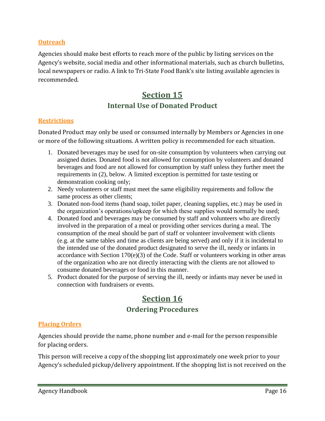#### **Outreach**

Agencies should make best efforts to reach more of the public by listing services on the Agency's website, social media and other informational materials, such as church bulletins, local newspapers or radio. A link to Tri-State Food Bank's site listing available agencies is recommended.

## **Section 15 Internal Use of Donated Product**

#### <span id="page-15-0"></span>**Restrictions**

Donated Product may only be used or consumed internally by Members or Agencies in one or more of the following situations. A written policy is recommended for each situation.

- 1. Donated beverages may be used for on-site consumption by volunteers when carrying out assigned duties. Donated food is not allowed for consumption by volunteers and donated beverages and food are not allowed for consumption by staff unless they further meet the requirements in (2), below. A limited exception is permitted for taste testing or demonstration cooking only;
- 2. Needy volunteers or staff must meet the same eligibility requirements and follow the same process as other clients;
- 3. Donated non-food items (hand soap, toilet paper, cleaning supplies, etc.) may be used in the organization's operations/upkeep for which these supplies would normally be used;
- 4. Donated food and beverages may be consumed by staff and volunteers who are directly involved in the preparation of a meal or providing other services during a meal. The consumption of the meal should be part of staff or volunteer involvement with clients (e.g. at the same tables and time as clients are being served) and only if it is incidental to the intended use of the donated product designated to serve the ill, needy or infants in accordance with Section 170(e)(3) of the Code. Staff or volunteers working in other areas of the organization who are not directly interacting with the clients are not allowed to consume donated beverages or food in this manner.
- <span id="page-15-1"></span>5. Product donated for the purpose of serving the ill, needy or infants may never be used in connection with fundraisers or events.

## **Section 16 Ordering Procedures**

### **Placing Orders**

Agencies should provide the name, phone number and e-mail for the person responsible for placing orders.

This person will receive a copy of the shopping list approximately one week prior to your Agency's scheduled pickup/delivery appointment. If the shopping list is not received on the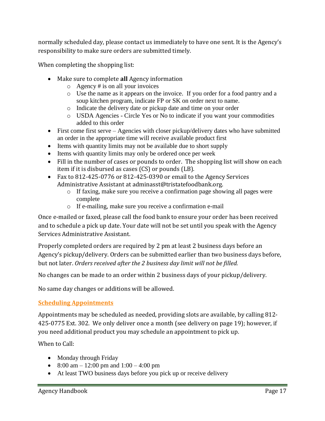normally scheduled day, please contact us immediately to have one sent. It is the Agency's responsibility to make sure orders are submitted timely.

When completing the shopping list:

- Make sure to complete **all** Agency information
	- o Agency # is on all your invoices
	- o Use the name as it appears on the invoice. If you order for a food pantry and a soup kitchen program, indicate FP or SK on order next to name.
	- o Indicate the delivery date or pickup date and time on your order
	- o USDA Agencies Circle Yes or No to indicate if you want your commodities added to this order
- First come first serve Agencies with closer pickup/delivery dates who have submitted an order in the appropriate time will receive available product first
- Items with quantity limits may not be available due to short supply
- Items with quantity limits may only be ordered once per week
- Fill in the number of cases or pounds to order. The shopping list will show on each item if it is disbursed as cases (CS) or pounds (LB).
- Fax to 812-425-0776 or 812-425-0390 or email to the Agency Services Administrative Assistant at adminasst@tristatefoodbank.org.
	- o If faxing, make sure you receive a confirmation page showing all pages were complete
	- o If e-mailing, make sure you receive a confirmation e-mail

Once e-mailed or faxed, please call the food bank to ensure your order has been received and to schedule a pick up date. Your date will not be set until you speak with the Agency Services Administrative Assistant.

Properly completed orders are required by 2 pm at least 2 business days before an Agency's pickup/delivery. Orders can be submitted earlier than two business days before, but not later. *Orders received after the 2 business day limit will not be filled.*

No changes can be made to an order within 2 business days of your pickup/delivery.

No same day changes or additions will be allowed.

### **Scheduling Appointments**

Appointments may be scheduled as needed, providing slots are available, by calling 812- 425-0775 Ext. 302. We only deliver once a month (see delivery on page 19); however, if you need additional product you may schedule an appointment to pick up.

When to Call:

- Monday through Friday
- 8:00 am  $-12:00$  pm and  $1:00 4:00$  pm
- At least TWO business days before you pick up or receive delivery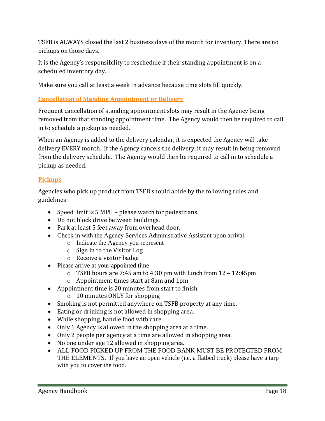TSFB is ALWAYS closed the last 2 business days of the month for inventory. There are no pickups on those days.

It is the Agency's responsibility to reschedule if their standing appointment is on a scheduled inventory day.

Make sure you call at least a week in advance because time slots fill quickly.

## **Cancellation of Standing Appointment or Delivery**

Frequent cancellation of standing appointment slots may result in the Agency being removed from that standing appointment time. The Agency would then be required to call in to schedule a pickup as needed.

When an Agency is added to the delivery calendar, it is expected the Agency will take delivery EVERY month. If the Agency cancels the delivery, it may result in being removed from the delivery schedule. The Agency would then be required to call in to schedule a pickup as needed.

## **Pickups**

Agencies who pick up product from TSFB should abide by the following rules and guidelines:

- Speed limit is 5 MPH please watch for pedestrians.
- Do not block drive between buildings.
- Park at least 5 feet away from overhead door.
- Check in with the Agency Services Administrative Assistant upon arrival.
	- o Indicate the Agency you represent
	- o Sign in to the Visitor Log
	- o Receive a visitor badge
- Please arrive at your appointed time
	- $\circ$  TSFB hours are 7:45 am to 4:30 pm with lunch from 12 12:45 pm
	- o Appointment times start at 8am and 1pm
- Appointment time is 20 minutes from start to finish.
	- o 10 minutes ONLY for shopping
- Smoking is not permitted anywhere on TSFB property at any time.
- Eating or drinking is not allowed in shopping area.
- While shopping, handle food with care.
- Only 1 Agency is allowed in the shopping area at a time.
- Only 2 people per agency at a time are allowed in shopping area.
- No one under age 12 allowed in shopping area.
- ALL FOOD PICKED UP FROM THE FOOD BANK MUST BE PROTECTED FROM THE ELEMENTS. If you have an open vehicle (i.e. a flatbed truck) please have a tarp with you to cover the food.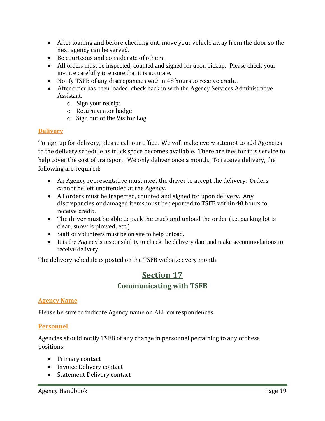- After loading and before checking out, move your vehicle away from the door so the next agency can be served.
- Be courteous and considerate of others.
- All orders must be inspected, counted and signed for upon pickup. Please check your invoice carefully to ensure that it is accurate.
- Notify TSFB of any discrepancies within 48 hours to receive credit.
- After order has been loaded, check back in with the Agency Services Administrative Assistant.
	- o Sign your receipt
	- o Return visitor badge
	- o Sign out of the Visitor Log

## **Delivery**

To sign up for delivery, please call our office. We will make every attempt to add Agencies to the delivery schedule as truck space becomes available. There are fees for this service to help cover the cost of transport. We only deliver once a month. To receive delivery, the following are required:

- An Agency representative must meet the driver to accept the delivery. Orders cannot be left unattended at the Agency.
- All orders must be inspected, counted and signed for upon delivery. Any discrepancies or damaged items must be reported to TSFB within 48 hours to receive credit.
- The driver must be able to park the truck and unload the order (i.e. parking lot is clear, snow is plowed, etc.).
- Staff or volunteers must be on site to help unload.
- It is the Agency's responsibility to check the delivery date and make accommodations to receive delivery.

<span id="page-18-0"></span>The delivery schedule is posted on the TSFB website every month.

## **Section 17 Communicating with TSFB**

### **Agency Name**

Please be sure to indicate Agency name on ALL correspondences.

### **Personnel**

Agencies should notify TSFB of any change in personnel pertaining to any of these positions:

- Primary contact
- Invoice Delivery contact
- Statement Delivery contact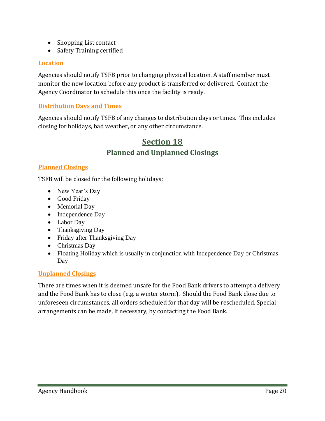- Shopping List contact
- Safety Training certified

#### **Location**

Agencies should notify TSFB prior to changing physical location. A staff member must monitor the new location before any product is transferred or delivered. Contact the Agency Coordinator to schedule this once the facility is ready.

#### **Distribution Days and Times**

<span id="page-19-0"></span>Agencies should notify TSFB of any changes to distribution days or times. This includes closing for holidays, bad weather, or any other circumstance.

## **Section 18 Planned and Unplanned Closings**

#### **Planned Closings**

TSFB will be closed for the following holidays:

- New Year's Day
- Good Friday
- Memorial Day
- Independence Day
- Labor Day
- Thanksgiving Day
- Friday after Thanksgiving Day
- Christmas Day
- Floating Holiday which is usually in conjunction with Independence Day or Christmas Day

### **Unplanned Closings**

There are times when it is deemed unsafe for the Food Bank drivers to attempt a delivery and the Food Bank has to close (e.g. a winter storm). Should the Food Bank close due to unforeseen circumstances, all orders scheduled for that day will be rescheduled. Special arrangements can be made, if necessary, by contacting the Food Bank.